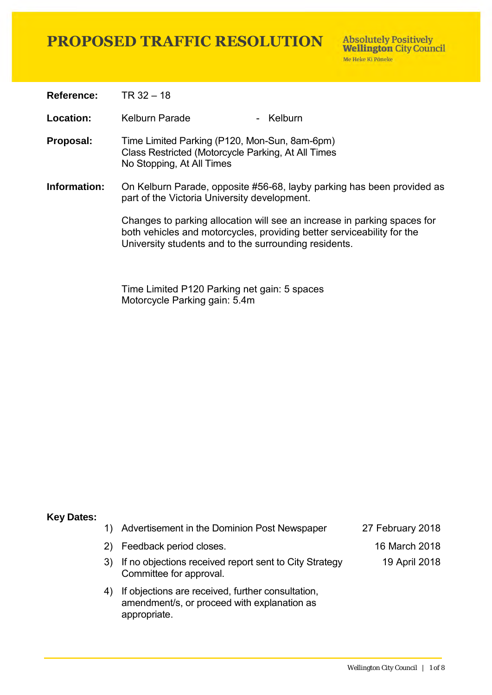**Reference:** TR 32 – 18

**Location:** Kelburn Parade - Kelburn

- **Proposal:** Time Limited Parking (P120, Mon-Sun, 8am-6pm) Class Restricted (Motorcycle Parking, At All Times No Stopping, At All Times
- **Information:** On Kelburn Parade, opposite #56-68, layby parking has been provided as part of the Victoria University development.

Changes to parking allocation will see an increase in parking spaces for both vehicles and motorcycles, providing better serviceability for the University students and to the surrounding residents.

Time Limited P120 Parking net gain: 5 spaces Motorcycle Parking gain: 5.4m

#### **Key Dates:**

1) Advertisement in the Dominion Post Newspaper 27 February 2018

19 April 2018

- 2) Feedback period closes. 16 March 2018
- 3) If no objections received report sent to City Strategy Committee for approval.
- 4) If objections are received, further consultation, amendment/s, or proceed with explanation as appropriate.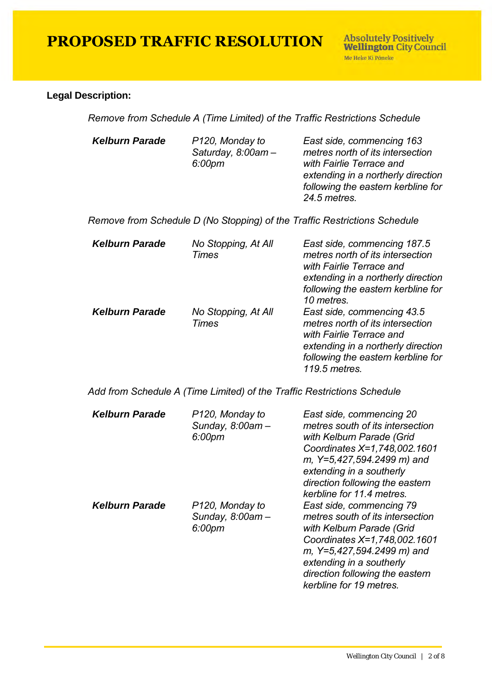#### **Legal Description:**

*Remove from Schedule A (Time Limited) of the Traffic Restrictions Schedule* 

| <b>Kelburn Parade</b> | P <sub>120</sub> , Monday to<br>Saturday, $8.00$ am $-$<br>6:00pm | East side, commencing 163<br>metres north of its intersection<br>with Fairlie Terrace and<br>extending in a northerly direction<br>following the eastern kerbline for<br>24.5 metres. |
|-----------------------|-------------------------------------------------------------------|---------------------------------------------------------------------------------------------------------------------------------------------------------------------------------------|
|                       |                                                                   |                                                                                                                                                                                       |

*Remove from Schedule D (No Stopping) of the Traffic Restrictions Schedule* 

| <b>Kelburn Parade</b> | No Stopping, At All<br>Times | East side, commencing 187.5<br>metres north of its intersection<br>with Fairlie Terrace and<br>extending in a northerly direction<br>following the eastern kerbline for<br>10 metres.   |
|-----------------------|------------------------------|-----------------------------------------------------------------------------------------------------------------------------------------------------------------------------------------|
| <b>Kelburn Parade</b> | No Stopping, At All<br>Times | East side, commencing 43.5<br>metres north of its intersection<br>with Fairlie Terrace and<br>extending in a northerly direction<br>following the eastern kerbline for<br>119.5 metres. |

*Add from Schedule A (Time Limited) of the Traffic Restrictions Schedule* 

| <b>Kelburn Parade</b> | P120, Monday to<br>Sunday, 8:00am-<br>6:00pm | East side, commencing 20<br>metres south of its intersection<br>with Kelburn Parade (Grid<br>Coordinates X=1,748,002.1601<br>m, Y=5,427,594.2499 m) and<br>extending in a southerly<br>direction following the eastern<br>kerbline for 11.4 metres. |
|-----------------------|----------------------------------------------|-----------------------------------------------------------------------------------------------------------------------------------------------------------------------------------------------------------------------------------------------------|
| <b>Kelburn Parade</b> | P120, Monday to<br>Sunday, 8:00am-<br>6:00pm | East side, commencing 79<br>metres south of its intersection<br>with Kelburn Parade (Grid<br>Coordinates X=1,748,002.1601<br>m, Y=5,427,594.2499 m) and<br>extending in a southerly<br>direction following the eastern<br>kerbline for 19 metres.   |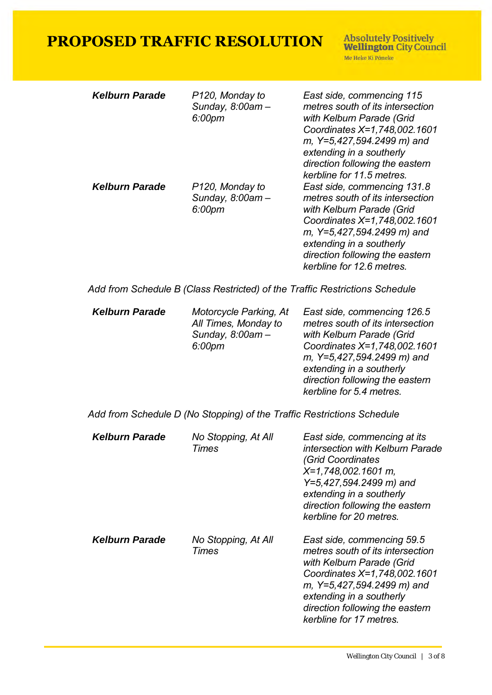**Absolutely Positively<br>Wellington City Council** Me Heke Ki Pôneke

| <b>Kelburn Parade</b><br><b>Kelburn Parade</b> | P120, Monday to<br>Sunday, 8:00am-<br>6:00pm<br>P120, Monday to<br>Sunday, 8:00am - | East side, commencing 115<br>metres south of its intersection<br>with Kelburn Parade (Grid<br>Coordinates X=1,748,002.1601<br>m, Y=5,427,594.2499 m) and<br>extending in a southerly<br>direction following the eastern<br>kerbline for 11.5 metres.<br>East side, commencing 131.8<br>metres south of its intersection |
|------------------------------------------------|-------------------------------------------------------------------------------------|-------------------------------------------------------------------------------------------------------------------------------------------------------------------------------------------------------------------------------------------------------------------------------------------------------------------------|
|                                                | 6:00pm                                                                              | with Kelburn Parade (Grid<br>Coordinates X=1,748,002.1601<br>m, Y=5,427,594.2499 m) and<br>extending in a southerly<br>direction following the eastern<br>kerbline for 12.6 metres.                                                                                                                                     |
|                                                |                                                                                     | Add from Schedule B (Class Restricted) of the Traffic Restrictions Schedule                                                                                                                                                                                                                                             |
| <b>Kelburn Parade</b>                          | Motorcycle Parking, At<br>All Times, Monday to<br>Sunday, 8:00am -<br>6:00pm        | East side, commencing 126.5<br>metres south of its intersection<br>with Kelburn Parade (Grid<br>Coordinates X=1,748,002.1601<br>m, Y=5,427,594.2499 m) and<br>extending in a southerly<br>direction following the eastern<br>kerbline for 5.4 metres.                                                                   |
|                                                | Add from Schedule D (No Stopping) of the Traffic Restrictions Schedule              |                                                                                                                                                                                                                                                                                                                         |
| <b>Kelburn Parade</b>                          | No Stopping, At All<br>Times                                                        | East side, commencing at its<br>intersection with Kelburn Parade<br><b>(Grid Coordinates</b><br>X=1,748,002.1601 m,<br>Y=5,427,594.2499 m) and<br>extending in a southerly<br>direction following the eastern<br>kerbline for 20 metres.                                                                                |
| <b>Kelburn Parade</b>                          | No Stopping, At All<br>Times                                                        | East side, commencing 59.5<br>metres south of its intersection<br>with Kelburn Parade (Grid                                                                                                                                                                                                                             |

*Coordinates X=1,748,002.1601 m, Y=5,427,594.2499 m) and* 

*direction following the eastern* 

*extending in a southerly* 

*kerbline for 17 metres.*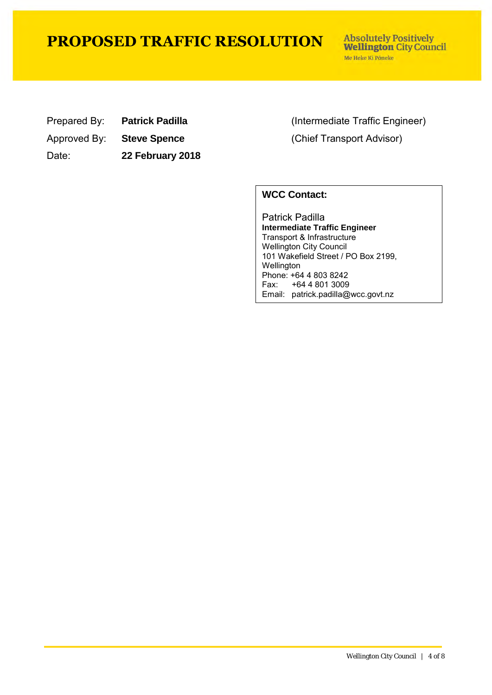**Absolutely Positively Wellington City Council** Me Heke Ki Põneke

| Prepared By: | <b>Patr</b> |
|--------------|-------------|
|              |             |

Approved By: **Steve Spence** (Chief Transport Advisor)

Date: **22 February 2018**

rick Padilla **Prepared By:** *Patrick Padilla* (Intermediate Traffic Engineer)

#### **WCC Contact:**

Patrick Padilla **Intermediate Traffic Engineer**  Transport & Infrastructure Wellington City Council 101 Wakefield Street / PO Box 2199, Wellington Phone: +64 4 803 8242<br>Fax: +64 4 801 3009 +64 4 801 3009 Email: patrick.padilla@wcc.govt.nz

treet / Po Box 2199, Wellington, Wellington, Wellington, Wellington, Wellington, Wellington, Wellington, Welli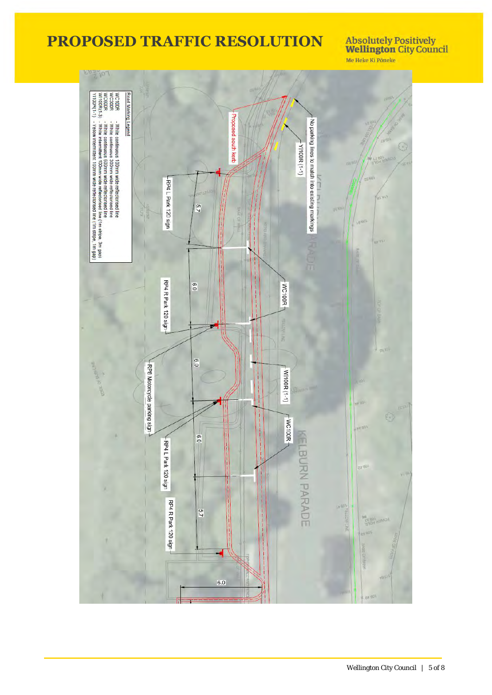**Absolutely Positively<br>Wellington City Council** Me Heke Ki Pôneke

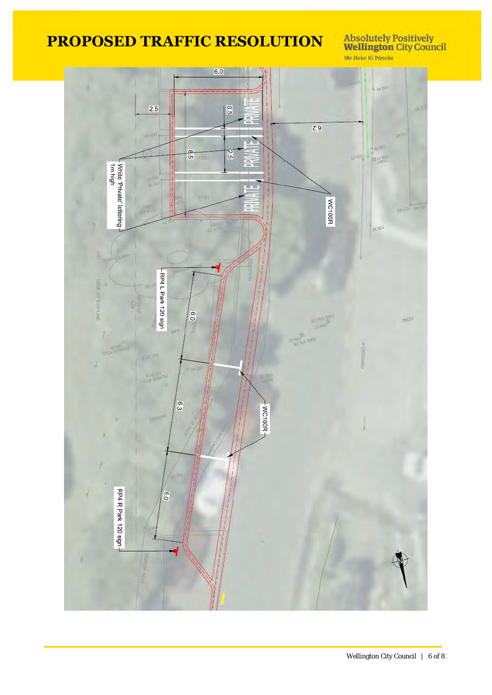Absolutely Positively<br>Wellington City Council<br>Me Heke Ki Põneke

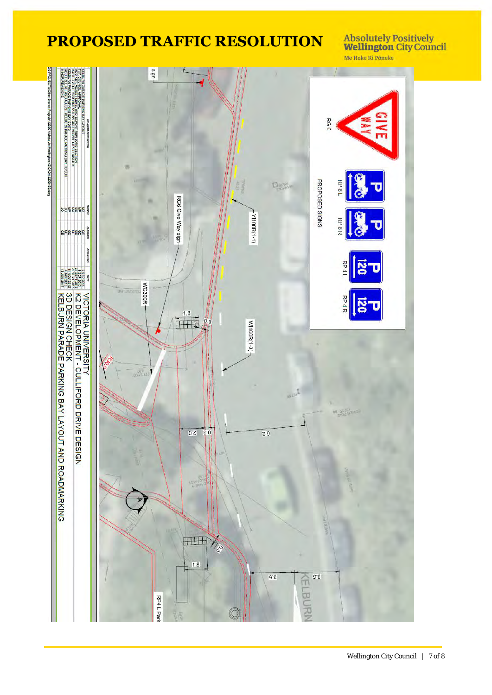**Absolutely Positively<br>Wellington City Council** Me Heke Ki Pôneke